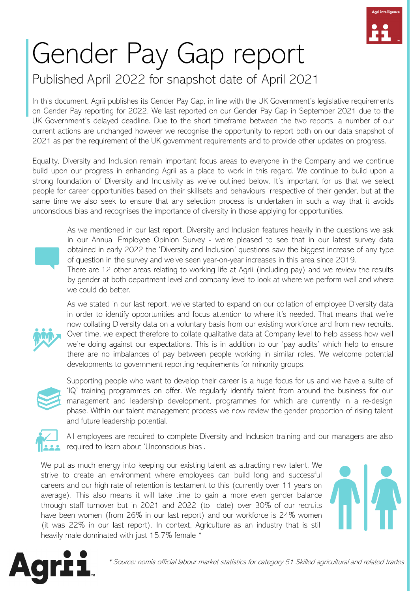

### Published April 2022 for snapshot date of April 2021

In this document, Agrii publishes its Gender Pay Gap, in line with the UK Government's legislative requirements on Gender Pay reporting for 2022. We last reported on our Gender Pay Gap in September 2021 due to the UK Government's delayed deadline. Due to the short timeframe between the two reports, a number of our current actions are unchanged however we recognise the opportunity to report both on our data snapshot of 2021 as per the requirement of the UK government requirements and to provide other updates on progress.

Equality, Diversity and Inclusion remain important focus areas to everyone in the Company and we continue build upon our progress in enhancing Agrii as a place to work in this regard. We continue to build upon a strong foundation of Diversity and Inclusivity as we've outlined below. It's important for us that we select people for career opportunities based on their skillsets and behaviours irrespective of their gender, but at the same time we also seek to ensure that any selection process is undertaken in such a way that it avoids unconscious bias and recognises the importance of diversity in those applying for opportunities.



As we mentioned in our last report, Diversity and Inclusion features heavily in the questions we ask in our Annual Employee Opinion Survey - we're pleased to see that in our latest survey data obtained in early 2022 the 'Diversity and Inclusion' questions saw the biggest increase of any type of question in the survey and we've seen year-on-year increases in this area since 2019.

There are 12 other areas relating to working life at Agrii (including pay) and we review the results by gender at both department level and company level to look at where we perform well and where we could do better.





Supporting people who want to develop their career is a huge focus for us and we have a suite of 'IQ' training programmes on offer. We regularly identify talent from around the business for our management and leadership development, programmes for which are currently in a re-design phase. Within our talent management process we now review the gender proportion of rising talent and future leadership potential.



All employees are required to complete Diversity and Inclusion training and our managers are also required to learn about 'Unconscious bias'.

We put as much energy into keeping our existing talent as attracting new talent. We strive to create an environment where employees can build long and successful careers and our high rate of retention is testament to this (currently over 11 years on average). This also means it will take time to gain a more even gender balance through staff turnover but in 2021 and 2022 (to date) over 30% of our recruits have been women (from 26% in our last report) and our workforce is 24% women (it was 22% in our last report). In context, Agriculture as an industry that is still heavily male dominated with just 15.7% female \*



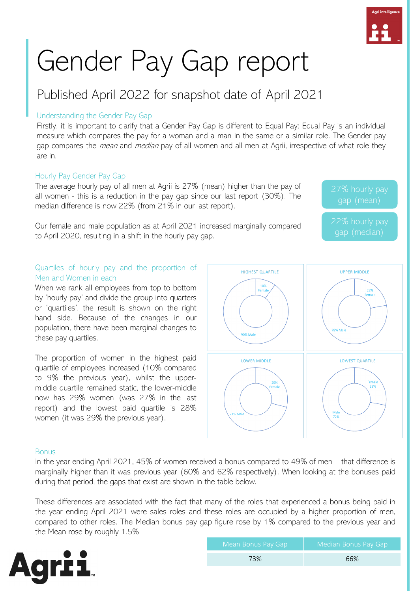### Published April 2022 for snapshot date of April 2021

#### Understanding the Gender Pay Gap

Firstly, it is important to clarify that a Gender Pay Gap is different to Equal Pay: Equal Pay is an individual measure which compares the pay for a woman and a man in the same or a similar role. The Gender pay gap compares the *mean* and *median* pay of all women and all men at Agrii, irrespective of what role they are in.

#### Hourly Pay Gender Pay Gap

The average hourly pay of all men at Agrii is 27% (mean) higher than the pay of all women - this is a reduction in the pay gap since our last report (30%). The median difference is now 22% (from 21% in our last report).

Our female and male population as at April 2021 increased marginally compared to April 2020, resulting in a shift in the hourly pay gap.

#### Quartiles of hourly pay and the proportion of Men and Women in each

When we rank all employees from top to bottom by 'hourly pay' and divide the group into quarters or 'quartiles', the result is shown on the right hand side. Because of the changes in our population, there have been marginal changes to these pay quartiles.

The proportion of women in the highest paid quartile of employees increased (10% compared to 9% the previous year), whilst the uppermiddle quartile remained static, the lower-middle now has 29% women (was 27% in the last report) and the lowest paid quartile is 28% women (it was 29% the previous year).



#### **Bonus**

In the year ending April 2021, 45% of women received a bonus compared to 49% of men – that difference is marginally higher than it was previous year (60% and 62% respectively). When looking at the bonuses paid during that period, the gaps that exist are shown in the table below.

These differences are associated with the fact that many of the roles that experienced a bonus being paid in the year ending April 2021 were sales roles and these roles are occupied by a higher proportion of men, compared to other roles. The Median bonus pay gap figure rose by 1% compared to the previous year and the Mean rose by roughly 1.5%



| Mean Bonus Pay Gap | Median Bonus Pay Gap |
|--------------------|----------------------|
| 73%                | 66%                  |



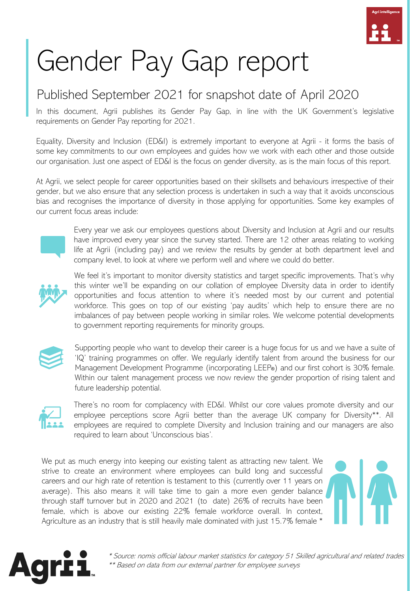

### Published September 2021 for snapshot date of April 2020

In this document, Agrii publishes its Gender Pay Gap, in line with the UK Government's legislative requirements on Gender Pay reporting for 2021.

Equality, Diversity and Inclusion (ED&I) is extremely important to everyone at Agrii - it forms the basis of some key commitments to our own employees and guides how we work with each other and those outside our organisation. Just one aspect of ED&I is the focus on gender diversity, as is the main focus of this report.

At Agrii, we select people for career opportunities based on their skillsets and behaviours irrespective of their gender, but we also ensure that any selection process is undertaken in such a way that it avoids unconscious bias and recognises the importance of diversity in those applying for opportunities. Some key examples of our current focus areas include:



Every year we ask our employees questions about Diversity and Inclusion at Agrii and our results have improved every year since the survey started. There are 12 other areas relating to working life at Agrii (including pay) and we review the results by gender at both department level and company level, to look at where we perform well and where we could do better.



We feel it's important to monitor diversity statistics and target specific improvements. That's why this winter we'll be expanding on our collation of employee Diversity data in order to identify opportunities and focus attention to where it's needed most by our current and potential workforce. This goes on top of our existing 'pay audits' which help to ensure there are no imbalances of pay between people working in similar roles. We welcome potential developments to government reporting requirements for minority groups.



Supporting people who want to develop their career is a huge focus for us and we have a suite of 'IQ' training programmes on offer. We regularly identify talent from around the business for our Management Development Programme (incorporating LEEP®) and our first cohort is 30% female. Within our talent management process we now review the gender proportion of rising talent and future leadership potential.



There's no room for complacency with ED&I. Whilst our core values promote diversity and our employee perceptions score Agrii better than the average UK company for Diversity\*\*. All employees are required to complete Diversity and Inclusion training and our managers are also required to learn about 'Unconscious bias'.

We put as much energy into keeping our existing talent as attracting new talent. We strive to create an environment where employees can build long and successful careers and our high rate of retention is testament to this (currently over 11 years on average). This also means it will take time to gain a more even gender balance through staff turnover but in 2020 and 2021 (to date) 26% of recruits have been female, which is above our existing 22% female workforce overall. In context, Agriculture as an industry that is still heavily male dominated with just 15.7% female \*

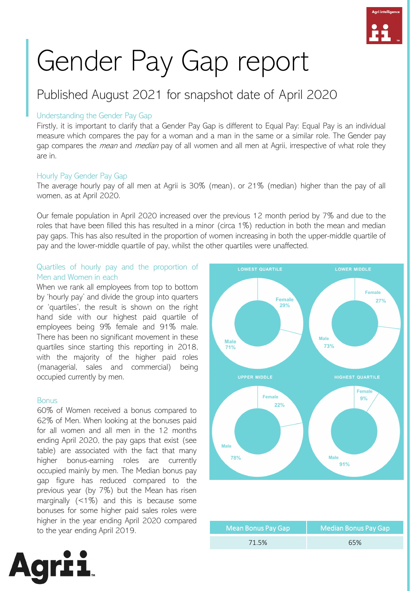

### Published August 2021 for snapshot date of April 2020

#### Understanding the Gender Pay Gap

Firstly, it is important to clarify that a Gender Pay Gap is different to Equal Pay: Equal Pay is an individual measure which compares the pay for a woman and a man in the same or a similar role. The Gender pay gap compares the *mean* and *median* pay of all women and all men at Agrii, irrespective of what role they are in.

#### Hourly Pay Gender Pay Gap

The average hourly pay of all men at Agrii is 30% (mean), or 21% (median) higher than the pay of all women, as at April 2020.

Our female population in April 2020 increased over the previous 12 month period by 7% and due to the roles that have been filled this has resulted in a minor (circa 1%) reduction in both the mean and median pay gaps. This has also resulted in the proportion of women increasing in both the upper-middle quartile of pay and the lower-middle quartile of pay, whilst the other quartiles were unaffected.

#### Quartiles of hourly pay and the proportion of Men and Women in each

When we rank all employees from top to bottom by 'hourly pay' and divide the group into quarters or 'quartiles', the result is shown on the right hand side with our highest paid quartile of employees being 9% female and 91% male. There has been no significant movement in these quartiles since starting this reporting in 2018, with the majority of the higher paid roles (managerial, sales and commercial) being occupied currently by men.

#### **Bonus**

60% of Women received a bonus compared to 62% of Men. When looking at the bonuses paid for all women and all men in the 12 months ending April 2020, the pay gaps that exist (see table) are associated with the fact that many higher bonus-earning roles are currently occupied mainly by men. The Median bonus pay gap figure has reduced compared to the previous year (by 7%) but the Mean has risen marginally (<1%) and this is because some bonuses for some higher paid sales roles were higher in the year ending April 2020 compared to the year ending April 2019.



| Mean Bonus Pay Gap | Median Bonus Pay Gap |
|--------------------|----------------------|
| 71.5%              | 65%                  |

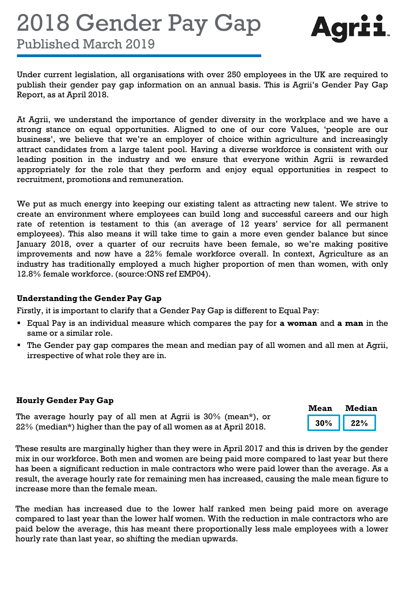## 2018 Gender Pay Gap



**Mean Median**

Published March 2019

Under current legislation, all organisations with over 250 employees in the UK are required to publish their gender pay gap information on an annual basis. This is Agrii's Gender Pay Gap Report, as at April 2018.

At Agrii, we understand the importance of gender diversity in the workplace and we have a strong stance on equal opportunities. Aligned to one of our core Values, 'people are our business', we believe that we're an employer of choice within agriculture and increasingly attract candidates from a large talent pool. Having a diverse workforce is consistent with our leading position in the industry and we ensure that everyone within Agrii is rewarded appropriately for the role that they perform and enjoy equal opportunities in respect to recruitment, promotions and remuneration.

We put as much energy into keeping our existing talent as attracting new talent. We strive to create an environment where employees can build long and successful careers and our high rate of retention is testament to this (an average of 12 years' service for all permanent employees). This also means it will take time to gain a more even gender balance but since January 2018, over a quarter of our recruits have been female, so we're making positive improvements and now have a 22% female workforce overall. In context, Agriculture as an industry has traditionally employed a much higher proportion of men than women, with only 12.8% female workforce. (source:ONS ref EMP04).

#### **Understanding the Gender Pay Gap**

Firstly, it is important to clarify that a Gender Pay Gap is different to Equal Pay:

- Equal Pay is an individual measure which compares the pay for **a woman** and **a man** in the same or a similar role.
- The Gender pay gap compares the mean and median pay of all women and all men at Agrii, irrespective of what role they are in.

#### **Hourly Gender Pay Gap**

| The average hourly pay of all men at Agrii is 30% (mean*), or    | $30\%$ 22% |  |
|------------------------------------------------------------------|------------|--|
| 22% (median*) higher than the pay of all women as at April 2018. |            |  |

These results are marginally higher than they were in April 2017 and this is driven by the gender mix in our workforce. Both men and women are being paid more compared to last year but there has been a significant reduction in male contractors who were paid lower than the average. As a result, the average hourly rate for remaining men has increased, causing the male mean figure to increase more than the female mean.

The median has increased due to the lower half ranked men being paid more on average compared to last year than the lower half women. With the reduction in male contractors who are paid below the average, this has meant there proportionally less male employees with a lower hourly rate than last year, so shifting the median upwards.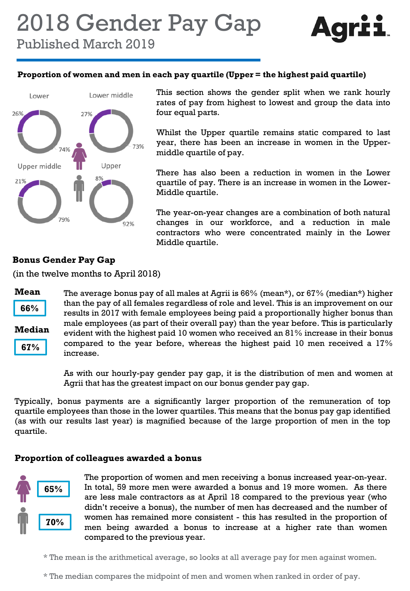

Published March 2019

#### **Proportion of women and men in each pay quartile (Upper = the highest paid quartile)**



This section shows the gender split when we rank hourly rates of pay from highest to lowest and group the data into four equal parts.

Whilst the Upper quartile remains static compared to last year, there has been an increase in women in the Uppermiddle quartile of pay.

There has also been a reduction in women in the Lower quartile of pay. There is an increase in women in the Lower-Middle quartile.

The year-on-year changes are a combination of both natural changes in our workforce, and a reduction in male contractors who were concentrated mainly in the Lower Middle quartile.

#### **Bonus Gender Pay Gap**

(in the twelve months to April 2018)



**66%**



**67%**

The average bonus pay of all males at Agrii is 66% (mean\*), or 67% (median\*) higher than the pay of all females regardless of role and level. This is an improvement on our results in 2017 with female employees being paid a proportionally higher bonus than male employees (as part of their overall pay) than the year before. This is particularly evident with the highest paid 10 women who received an 81% increase in their bonus compared to the year before, whereas the highest paid 10 men received a 17% increase.

As with our hourly-pay gender pay gap, it is the distribution of men and women at Agrii that has the greatest impact on our bonus gender pay gap.

Typically, bonus payments are a significantly larger proportion of the remuneration of top quartile employees than those in the lower quartiles. This means that the bonus pay gap identified (as with our results last year) is magnified because of the large proportion of men in the top quartile.

#### **Proportion of colleagues awarded a bonus**



The proportion of women and men receiving a bonus increased year-on-year. In total, 59 more men were awarded a bonus and 19 more women. As there are less male contractors as at April 18 compared to the previous year (who didn't receive a bonus), the number of men has decreased and the number of women has remained more consistent - this has resulted in the proportion of men being awarded a bonus to increase at a higher rate than women compared to the previous year.

\* The mean is the arithmetical average, so looks at all average pay for men against women.

\* The median compares the midpoint of men and women when ranked in order of pay.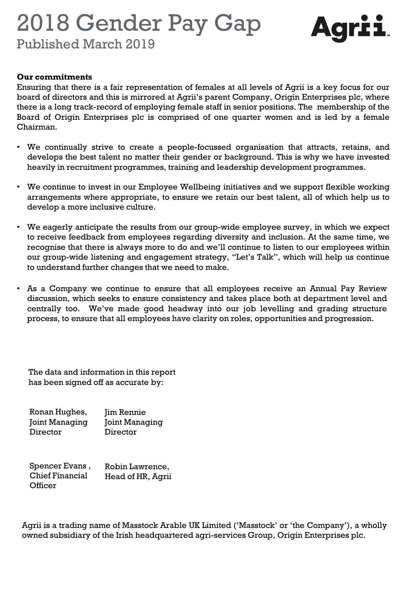### 2018 Gender Pay Gap



Published March 2019

#### **Our commitments**

Ensuring that there is a fair representation of females at all levels of Agrii is a key focus for our board of directors and this is mirrored at Agrii's parent Company, Origin Enterprises plc, where there is a long track-record of employing female staff in senior positions. The membership of the Board of Origin Enterprises plc is comprised of one quarter women and is led by a female Chairman.

- We continually strive to create a people-focussed organisation that attracts, retains, and develops the best talent no matter their gender or background. This is why we have invested heavily in recruitment programmes, training and leadership development programmes.
- We continue to invest in our Employee Wellbeing initiatives and we support flexible working arrangements where appropriate, to ensure we retain our best talent, all of which help us to develop a more inclusive culture.
- We eagerly anticipate the results from our group-wide employee survey, in which we expect to receive feedback from employees regarding diversity and inclusion. At the same time, we recognise that there is always more to do and we'll continue to listen to our employees within our group-wide listening and engagement strategy, "Let's Talk", which will help us continue to understand further changes that we need to make.
- As a Company we continue to ensure that all employees receive an Annual Pay Review discussion, which seeks to ensure consistency and takes place both at department level and centrally too. We've made good headway into our job levelling and grading structure process, to ensure that all employees have clarity on roles, opportunities and progression.

The data and information in this report has been signed off as accurate by:

| Ronan Hughes,  | Jim Rennie     |
|----------------|----------------|
| Joint Managing | Joint Managing |
| Director       | Director       |

Spencer Evans , Chief Financial **Officer** Robin Lawrence, Head of HR, Agrii

Agrii is a trading name of Masstock Arable UK Limited ('Masstock' or 'the Company'), a wholly owned subsidiary of the Irish headquartered agri-services Group, Origin Enterprises plc.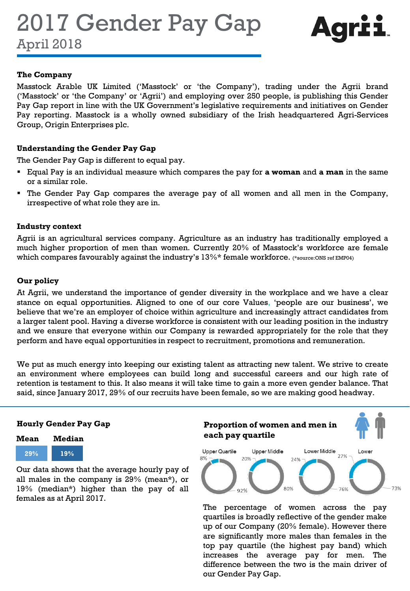2017 Gender Pay Gap April 2018



#### **The Company**

Masstock Arable UK Limited ('Masstock' or 'the Company'), trading under the Agrii brand ('Masstock' or 'the Company' or 'Agrii') and employing over 250 people, is publishing this Gender Pay Gap report in line with the UK Government's legislative requirements and initiatives on Gender Pay reporting. Masstock is a wholly owned subsidiary of the Irish headquartered Agri-Services Group, Origin Enterprises plc.

#### **Understanding the Gender Pay Gap**

The Gender Pay Gap is different to equal pay.

- Equal Pay is an individual measure which compares the pay for **a woman** and **a man** in the same or a similar role.
- The Gender Pay Gap compares the average pay of all women and all men in the Company, irrespective of what role they are in.

#### **Industry context**

Agrii is an agricultural services company. Agriculture as an industry has traditionally employed a much higher proportion of men than women. Currently 20% of Masstock's workforce are female which compares favourably against the industry's 13%\* female workforce. (\*source:ONS ref EMP04)

#### **Our policy**

At Agrii, we understand the importance of gender diversity in the workplace and we have a clear stance on equal opportunities. Aligned to one of our core Values, 'people are our business', we believe that we're an employer of choice within agriculture and increasingly attract candidates from a larger talent pool. Having a diverse workforce is consistent with our leading position in the industry and we ensure that everyone within our Company is rewarded appropriately for the role that they perform and have equal opportunities in respect to recruitment, promotions and remuneration.

We put as much energy into keeping our existing talent as attracting new talent. We strive to create an environment where employees can build long and successful careers and our high rate of retention is testament to this. It also means it will take time to gain a more even gender balance. That said, since January 2017, 29% of our recruits have been female, so we are making good headway.

#### **Hourly Gender Pay Gap**



Our data shows that the average hourly pay of all males in the company is 29% (mean\*), or 19% (median\*) higher than the pay of all females as at April 2017.



The percentage of women across the pay quartiles is broadly reflective of the gender make up of our Company (20% female). However there are significantly more males than females in the top pay quartile (the highest pay band) which increases the average pay for men. The difference between the two is the main driver of our Gender Pay Gap.